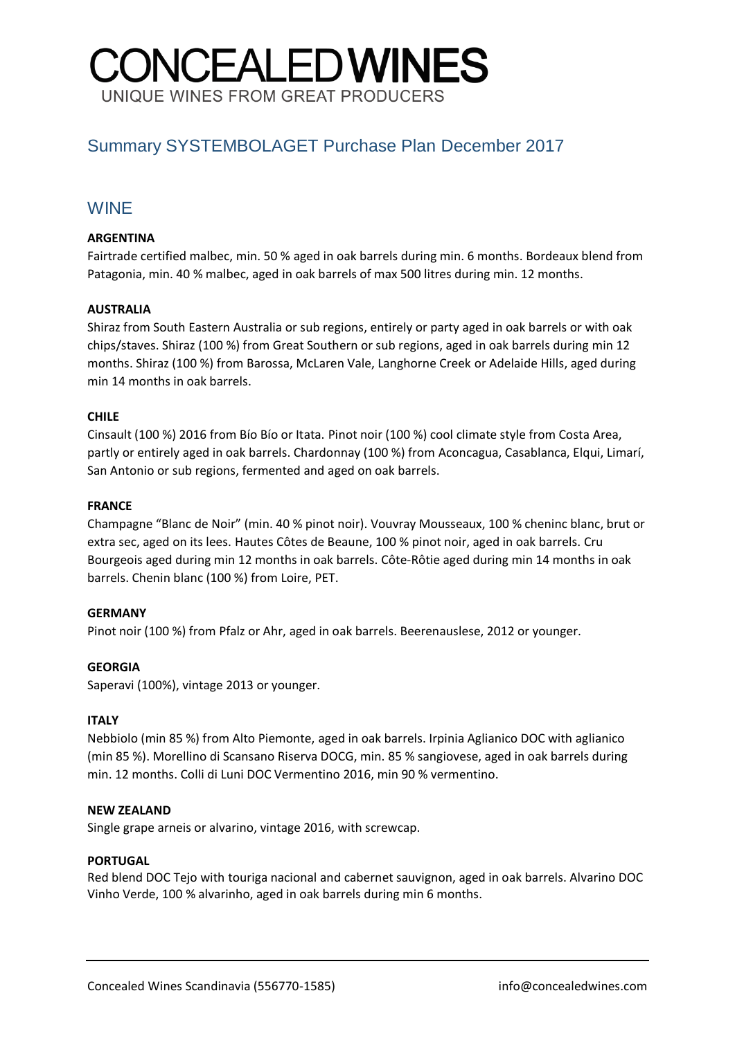# **CONCEALEDWINES** UNIQUE WINES FROM GREAT PRODUCERS

# Summary SYSTEMBOLAGET Purchase Plan December 2017

# WINE

#### **ARGENTINA**

Fairtrade certified malbec, min. 50 % aged in oak barrels during min. 6 months. Bordeaux blend from Patagonia, min. 40 % malbec, aged in oak barrels of max 500 litres during min. 12 months.

#### **AUSTRALIA**

Shiraz from South Eastern Australia or sub regions, entirely or party aged in oak barrels or with oak chips/staves. Shiraz (100 %) from Great Southern or sub regions, aged in oak barrels during min 12 months. Shiraz (100 %) from Barossa, McLaren Vale, Langhorne Creek or Adelaide Hills, aged during min 14 months in oak barrels.

#### **CHILE**

Cinsault (100 %) 2016 from Bío Bío or Itata. Pinot noir (100 %) cool climate style from Costa Area, partly or entirely aged in oak barrels. Chardonnay (100 %) from Aconcagua, Casablanca, Elqui, Limarí, San Antonio or sub regions, fermented and aged on oak barrels.

#### **FRANCE**

Champagne "Blanc de Noir" (min. 40 % pinot noir). Vouvray Mousseaux, 100 % cheninc blanc, brut or extra sec, aged on its lees. Hautes Côtes de Beaune, 100 % pinot noir, aged in oak barrels. Cru Bourgeois aged during min 12 months in oak barrels. Côte-Rôtie aged during min 14 months in oak barrels. Chenin blanc (100 %) from Loire, PET.

#### **GERMANY**

Pinot noir (100 %) from Pfalz or Ahr, aged in oak barrels. Beerenauslese, 2012 or younger.

#### **GEORGIA**

Saperavi (100%), vintage 2013 or younger.

#### **ITALY**

Nebbiolo (min 85 %) from Alto Piemonte, aged in oak barrels. Irpinia Aglianico DOC with aglianico (min 85 %). Morellino di Scansano Riserva DOCG, min. 85 % sangiovese, aged in oak barrels during min. 12 months. Colli di Luni DOC Vermentino 2016, min 90 % vermentino.

#### **NEW ZEALAND**

Single grape arneis or alvarino, vintage 2016, with screwcap.

#### **PORTUGAL**

Red blend DOC Tejo with touriga nacional and cabernet sauvignon, aged in oak barrels. Alvarino DOC Vinho Verde, 100 % alvarinho, aged in oak barrels during min 6 months.